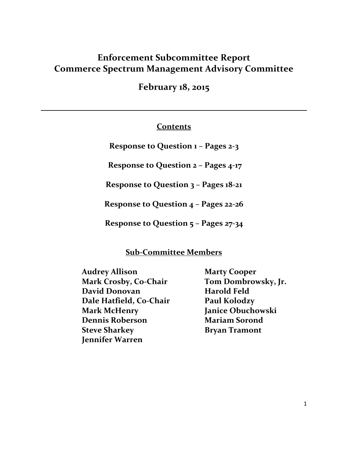# **Enforcement Subcommittee Report Commerce Spectrum Management Advisory Committee**

**February 18, 2015**

## **Contents**

**Response to Question 1 – Pages 2-3**

**Response to Question 2 – Pages 4-17**

**Response to Question 3 – Pages 18-21**

**Response to Question 4 – Pages 22-26**

**Response to Question 5 – Pages 27-34**

## **Sub-Committee Members**

**Audrey Allison Marty Cooper Mark Crosby, Co-Chair Tom Dombrowsky, Jr. David Donovan Harold Feld Dale Hatfield, C0-Chair Paul Kolodzy Mark McHenry Janice Obuchowski Dennis Roberson Mariam Sorond Steve Sharkey**  Bryan Tramont **Jennifer Warren**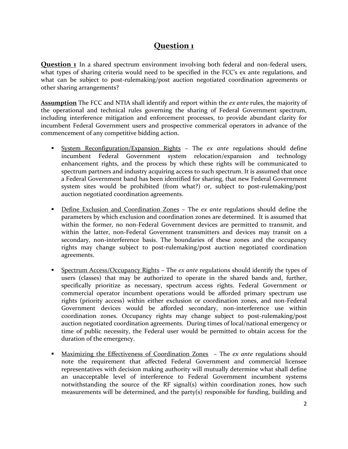# **Question 1**

**Question 1** In a shared spectrum environment involving both federal and non-federal users, what types of sharing criteria would need to be specified in the FCC's ex ante regulations, and what can be subject to post-rulemaking/post auction negotiated coordination agreements or other sharing arrangements?

**Assumption** The FCC and NTIA shall identify and report within the *ex ante* rules, the majority of the operational and technical rules governing the sharing of Federal Government spectrum, including interference mitigation and enforcement processes, to provide abundant clarity for incumbent Federal Government users and prospective commerical operators in advance of the commencement of any competitive bidding action.

- System Reconfiguration/Expansion Rights The *ex ante* regulations should define incumbent Federal Government system relocation/expansion and technology enhancement rights, and the process by which these rights will be communicated to spectrum partners and industry acquiring access to such spectrum. It is assumed that once a Federal Government band has been identified for sharing, that new Federal Government system sites would be prohibited (from what?) or, subject to post-rulemaking/post auction negotiated coordination agreements.
- Define Exclusion and Coordination Zones The *ex ante* regulations should define the parameters by which exclusion and coordination zones are determined. It is assumed that within the former, no non-Federal Government devices are permitted to transmit, and within the latter, non-Federal Government transmitters and devices may transit on a secondary, non-interference basis. The boundaries of these zones and the occupancy rights may change subject to post-rulemaking/post auction negotiated coordination agreements.
- Spectrum Access/Occupancy Rights The *ex ante* regulations should identify the types of users (classes) that may be authorized to operate in the shared bands and, further, specifically prioritize as necessary, spectrum access rights. Federal Government or commercial operator incumbent operations would be afforded primary spectrum use rights (priority access) within either exclusion or coordination zones, and non-Federal Government devices would be afforded secondary, non-interference use within coordination zones. Occupancy rights may change subject to post-rulemaking/post auction negotiated coordination agreements. During times of local/national emergency or time of public necessity, the Federal user would be permitted to obtain access for the duration of the emergency.
- Maximizing the Effectiveness of Coordination Zones The *ex ante* regulations should note the requirement that affected Federal Government and commercial licensee representatives with decision making authority will mutually determine what shall define an unacceptable level of interference to Federal Government incumbent systems notwithstanding the source of the RF signal(s) within coordination zones, how such measurements will be determined, and the party(s) responsible for funding, building and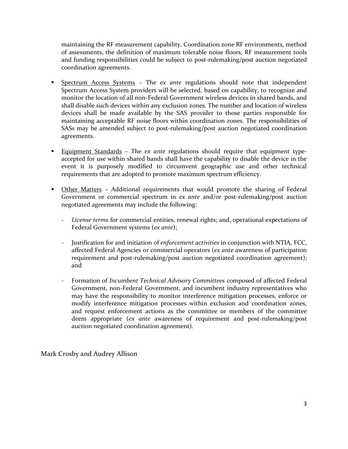maintaining the RF measurement capability. Coordination zone RF environments, method of assessments, the definition of maximum tolerable noise floors, RF measurement tools and funding responsibilities could be subject to post-rulemaking/post auction negotiated coordination agreements.

- Spectrum Access Systems The *ex ante* regulations should note that independent Spectrum Access System providers will be selected, based on capability, to recognize and monitor the location of all non-Federal Government wireless devices in shared bands, and shall disable such devices within any exclusion zones. The number and location of wireless devices shall be made available by the SAS provider to those parties responsible for maintaining acceptable RF noise floors within coordination zones. The responsibilities of SASs may be amended subject to post-rulemaking/post auction negotiated coordination agreements.
- Equipment Standards The *ex ante* regulations should require that equipment typeaccepted for use within shared bands shall have the capability to disable the device in the event it is purposely modified to circumvent geographic use and other technical requirements that are adopted to promote maximum spectrum efficiency.
- **Other Matters Additional requirements that would promote the sharing of Federal** Government or commercial spectrum in *ex ante* and/or post-rulemaking/post auction negotiated agreements may include the following:
	- *License terms* for commercial entities, renewal rights; and, operational expectations of Federal Government systems (*ex ante*);
	- Justification for and initiation of *enforcement activities* in conjunction with NTIA, FCC, affected Federal Agencies or commercial operators (*ex ante* awareness of participation requirement and post-rulemaking/post auction negotiated coordination agreement); and
	- Formation of *Incumbent Technical Advisory Committees* composed of affected Federal Government, non-Federal Government, and incumbent industry representatives who may have the responsibility to monitor interference mitigation processes, enforce or modify interference mitigation processes within exclusion and coordination zones, and request enforcement actions as the committee or members of the committee deem appropriate (*ex ante* awareness of requirement and post-rulemaking/post auction negotiated coordination agreement).

Mark Crosby and Audrey Allison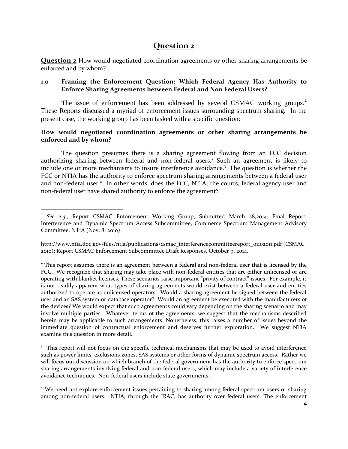## **Question 2**

**Question 2** How would negotiated coordination agreements or other sharing arrangements be enforced and by whom?

## **1.0 Framing the Enforcement Question: Which Federal Agency Has Authority to Enforce Sharing Agreements between Federal and Non Federal Users?**

The issue of enforcement has been addressed by several CSMAC working groups.<sup>1</sup> These Reports discussed a myriad of enforcement issues surrounding spectrum sharing. In the present case, the working group has been tasked with a specific question:

### **How would negotiated coordination agreements or other sharing arrangements be enforced and by whom?**

The question presumes there is a sharing agreement flowing from an FCC decision authorizing sharing between federal and non-federal users.<sup>2</sup> Such an agreement is likely to include one or more mechanisms to insure interference avoidance.<sup>3</sup> The question is whether the FCC or NTIA has the authority to enforce spectrum sharing arrangements between a federal user and non-federal user.<sup>4</sup> In other words, does the FCC, NTIA, the courts, federal agency user and non-federal user have shared authority to enforce the agreement?

 1 *See e.g*., Report CSMAC Enforcement Working Group, Submitted March 28,2014; Final Report, Interference and Dynamic Spectrum Access Subcommittee, Commerce Spectrum Management Advisory Committee, NTIA (Nov. 8, 2010)

http://www.ntia.doc.gov/files/ntia/publications/csmac\_interferencecommitteereport\_01102011.pdf (CSMAC 2010); Report CSMAC Enforcement Subcommittee Draft Responses, October 9, 2014.

 $2$ <sup>2</sup> This report assumes there is an agreement between a federal and non-federal user that is licensed by the FCC. We recognize that sharing may take place with non-federal entities that are either unlicensed or are operating with blanket licenses. These scenarios raise important "privity of contract" issues. For example, it is not readily apparent what types of sharing agreements would exist between a federal user and entities authorized to operate as unlicensed operators. Would a sharing agreement be signed between the federal user and an SAS system or database operator? Would an agreement be executed with the manufacturers of the devices? We would expect that such agreements could vary depending on the sharing scenario and may involve multiple parties. Whatever terms of the agreements, we suggest that the mechanisms described herein may be applicable to such arrangements. Nonetheless, this raises a number of issues beyond the immediate question of contractual enforcement and deserves further exploration. We suggest NTIA examine this question in more detail.

<sup>&</sup>lt;sup>3</sup> This report will not focus on the specific technical mechanisms that may be used to avoid interference such as power limits, exclusions zones, SAS systems or other forms of dynamic spectrum access. Rather we will focus our discussion on which branch of the federal government has the authority to enforce spectrum sharing arrangements involving federal and non-federal users, which may include a variety of interference avoidance techniques. Non-federal users include state governments.

<sup>&</sup>lt;sup>4</sup> We need not explore enforcement issues pertaining to sharing among federal spectrum users or sharing among non-federal users. NTIA, through the IRAC, has authority over federal users. The enforcement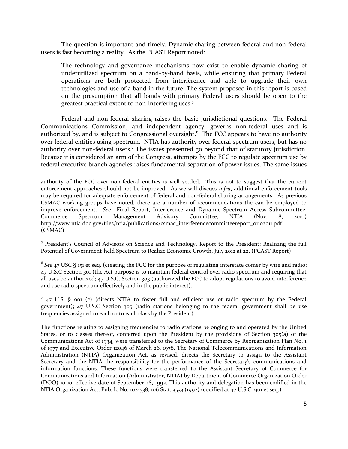The question is important and timely. Dynamic sharing between federal and non-federal users is fast becoming a reality. As the PCAST Report noted:

The technology and governance mechanisms now exist to enable dynamic sharing of underutilized spectrum on a band-by-band basis, while ensuring that primary Federal operations are both protected from interference and able to upgrade their own technologies and use of a band in the future. The system proposed in this report is based on the presumption that all bands with primary Federal users should be open to the greatest practical extent to non-interfering uses.<sup>5</sup>

Federal and non-federal sharing raises the basic jurisdictional questions. The Federal Communications Commission, and independent agency, governs non-federal uses and is authorized by, and is subject to Congressional oversight.<sup>6</sup> The FCC appears to have no authority over federal entities using spectrum. NTIA has authority over federal spectrum users, but has no authority over non-federal users.<sup>7</sup> The issues presented go beyond that of statutory jurisdiction. Because it is considered an arm of the Congress, attempts by the FCC to regulate spectrum use by federal executive branch agencies raises fundamental separation of power issues. The same issues

authority of the FCC over non-federal entities is well settled. This is not to suggest that the current enforcement approaches should not be improved. As we will discuss *infra*, additional enforcement tools may be required for adequate enforcement of federal and non-federal sharing arrangements. As previous CSMAC working groups have noted, there are a number of recommendations the can be employed to improve enforcement. *See* Final Report, Interference and Dynamic Spectrum Access Subcommittee, Commerce Spectrum Management Advisory Committee, NTIA (Nov. 8, 2010) http://www.ntia.doc.gov/files/ntia/publications/csmac\_interferencecommitteereport\_01102011.pdf (CSMAC)

 $\overline{\phantom{a}}$ 

<sup>5</sup> President's Council of Advisors on Science and Technology, Report to the President: Realizing the full Potential of Government-held Spectrum to Realize Economic Growth, July 2012 at 22. (PCAST Report)

6 *See* 47 USC § 151 et seq. (creating the FCC for the purpose of regulating interstate comer by wire and radio; 47 U.S.C Section 301 (the Act purpose is to maintain federal control over radio spectrum and requiring that all uses be authorized; 47 U.S.C. Section 303 (authorized the FCC to adopt regulations to avoid interference and use radio spectrum effectively and in the public interest).

<sup>7</sup> 47 U.S. § 901 (c) (directs NTIA to foster full and efficient use of radio spectrum by the Federal government); 47 U.S.C Section 305 (radio stations belonging to the federal government shall be use frequencies assigned to each or to each class by the President).

The functions relating to assigning frequencies to radio stations belonging to and operated by the United States, or to classes thereof, conferred upon the President by the provisions of Section 305(a) of the Communications Act of 1934, were transferred to the Secretary of Commerce by Reorganization Plan No. 1 of 1977 and Executive Order 12046 of March 26, 1978. The National Telecommunications and Information Administration (NTIA) Organization Act, as revised, directs the Secretary to assign to the Assistant Secretary and the NTIA the responsibility for the performance of the Secretary's communications and information functions. These functions were transferred to the Assistant Secretary of Commerce for Communications and Information (Administrator, NTIA) by Department of Commerce Organization Order (DOO) 10-10, effective date of September 28, 1992. This authority and delegation has been codified in the NTIA Organization Act, Pub. L. No. 102-538, 106 Stat. 3533 (1992) (codified at 47 U.S.C. 901 et seq.)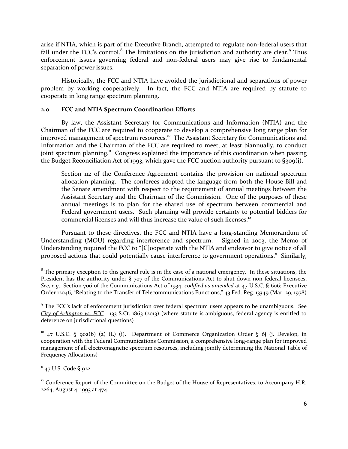arise if NTIA, which is part of the Executive Branch, attempted to regulate non-federal users that fall under the FCC's control.<sup>8</sup> The limitations on the jurisdiction and authority are clear.<sup>9</sup> Thus enforcement issues governing federal and non-federal users may give rise to fundamental separation of power issues.

Historically, the FCC and NTIA have avoided the jurisdictional and separations of power problem by working cooperatively. In fact, the FCC and NTIA are required by statute to cooperate in long range spectrum planning.

### **2.0 FCC and NTIA Spectrum Coordination Efforts**

By law, the Assistant Secretary for Communications and Information (NTIA) and the Chairman of the FCC are required to cooperate to develop a comprehensive long range plan for improved management of spectrum resources.<sup>10</sup> The Assistant Secretary for Communications and Information and the Chairman of the FCC are required to meet, at least biannually, to conduct joint spectrum planning.<sup>11</sup> Congress explained the importance of this coordination when passing the Budget Reconciliation Act of 1993, which gave the FCC auction authority pursuant to §309(j).

Section 112 of the Conference Agreement contains the provision on national spectrum allocation planning. The conferees adopted the language from both the House Bill and the Senate amendment with respect to the requirement of annual meetings between the Assistant Secretary and the Chairman of the Commission. One of the purposes of these annual meetings is to plan for the shared use of spectrum between commercial and Federal government users. Such planning will provide certainty to potential bidders for commercial licenses and will thus increase the value of such licenses.<sup>12</sup>

Pursuant to these directives, the FCC and NTIA have a long-standing Memorandum of Understanding (MOU) regarding interference and spectrum. Signed in 2003, the Memo of Understanding required the FCC to "[C]ooperate with the NTIA and endeavor to give notice of all proposed actions that could potentially cause interference to government operations." Similarly,

 $11$  47 U.S. Code § 922

 $\overline{\phantom{a}}$ 

 $8$  The primary exception to this general rule is in the case of a national emergency. In these situations, the President has the authority under § 707 of the Communications Act to shut down non-federal licensees. *See, e.g*., Section 706 of the Communications Act of 1934, *codified as amended* at 47 U.S.C. § 606; Executive Order 12046, "Relating to the Transfer of Telecommunications Functions," 43 Fed. Reg. 13349 (Mar. 29, 1978)

<sup>&</sup>lt;sup>9</sup> The FCC's lack of enforcement jurisdiction over federal spectrum users appears to be unambiguous. See *City of Arlington vs. FCC* 133 S.Ct. 1863 (2013) (where statute is ambiguous, federal agency is entitled to deference on jurisdictional questions)

 $10$  47 U.S.C. § 902(b) (2) (L) (i). Department of Commerce Organization Order § 6j (j. Develop, in cooperation with the Federal Communications Commission, a comprehensive long-range plan for improved management of all electromagnetic spectrum resources, including jointly determining the National Table of Frequency Allocations)

<sup>&</sup>lt;sup>12</sup> Conference Report of the Committee on the Budget of the House of Representatives, to Accompany H.R. 2264, August 4, 1993 at 474.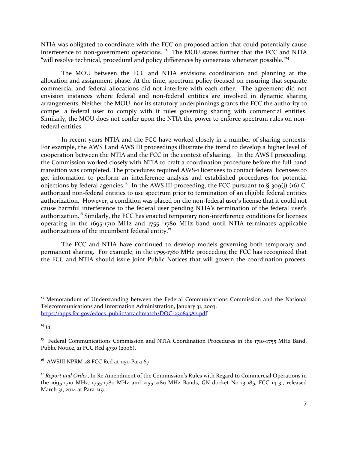NTIA was obligated to coordinate with the FCC on proposed action that could potentially cause interference to non-government operations.<sup>13</sup> The MOU states further that the FCC and NTIA "will resolve technical, procedural and policy differences by consensus whenever possible."<sup>14</sup>

The MOU between the FCC and NTIA envisions coordination and planning at the allocation and assignment phase. At the time, spectrum policy focused on ensuring that separate commercial and federal allocations did not interfere with each other. The agreement did not envision instances where federal and non-federal entities are involved in dynamic sharing arrangements. Neither the MOU, nor its statutory underpinnings grants the FCC the authority to compel a federal user to comply with it rules governing sharing with commercial entities. Similarly, the MOU does not confer upon the NTIA the power to enforce spectrum rules on nonfederal entities.

In recent years NTIA and the FCC have worked closely in a number of sharing contexts. For example, the AWS I and AWS III proceedings illustrate the trend to develop a higher level of cooperation between the NTIA and the FCC in the context of sharing. In the AWS I proceeding, the Commission worked closely with NTIA to craft a coordination procedure before the full band transition was completed. The procedures required AWS-1 licensees to contact federal licensees to get information to perform an interference analysis and established procedures for potential objections by federal agencies.<sup>15</sup> In the AWS III proceeding, the FCC pursuant to § 309(j) (16) C, authorized non-federal entities to use spectrum prior to termination of an eligible federal entities authorization. However, a condition was placed on the non-federal user's license that it could not cause harmful interference to the federal user pending NTIA's termination of the federal user's authorization.<sup>16</sup> Similarly, the FCC has enacted temporary non-interference conditions for licenses operating in the 1695-1710 MHz and 1755 -1780 MHz band until NTIA terminates applicable authorizations of the incumbent federal entity.<sup>17</sup>

The FCC and NTIA have continued to develop models governing both temporary and permanent sharing. For example, in the 1755-1780 MHz proceeding the FCC has recognized that the FCC and NTIA should issue Joint Public Notices that will govern the coordination process.

 $\overline{a}$ 

<sup>&</sup>lt;sup>13</sup> Memorandum of Understanding between the Federal Communications Commission and the National Telecommunications and Information Administration, January 31, 2003. [https://apps.fcc.gov/edocs\\_public/attachmatch/DOC-230835A2.pdf](https://apps.fcc.gov/edocs_public/attachmatch/DOC-230835A2.pdf)

<sup>14</sup> *Id*.

<sup>&</sup>lt;sup>15</sup> Federal Communications Commission and NTIA Coordination Procedures in the 1710-1755 MHz Band, Public Notice, 21 FCC Rcd 4730 (2006).

<sup>&</sup>lt;sup>16</sup> AWSIII NPRM 28 FCC Rcd at 1150 Para 67.

<sup>&</sup>lt;sup>17</sup> *Report and Order*, In Re Amendment of the Commission's Rules with Regard to Commercial Operations in the 1695-1710 MHz, 1755-1780 MHz and 2155-2180 MHz Bands, GN docket No 13-185, FCC 14-31, released March 31, 2014 at Para 219.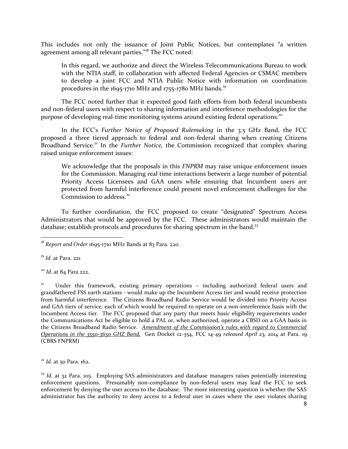This includes not only the issuance of Joint Public Notices, but contemplates "a written agreement among all relevant parties."<sup>18</sup> The FCC noted:

In this regard, we authorize and direct the Wireless Telecommunications Bureau to work with the NTIA staff, in collaboration with affected Federal Agencies or CSMAC members to develop a joint FCC and NTIA Public Notice with information on coordination procedures in the  $1695-1710$  MHz and  $1755-1780$  MHz bands.<sup>19</sup>

The FCC noted further that it expected good faith efforts from both federal incumbents and non-federal users with respect to sharing information and interference methodologies for the purpose of developing real-time monitoring systems around existing federal operations.<sup>20</sup>

In the FCC's *Further Notice of Proposed Rulemaking* in the 3.5 GHz Band, the FCC proposed a three tiered approach to federal and non-federal sharing when creating Citizens Broadband Service.<sup>21</sup> In the *Further Notice*, the Commission recognized that complex sharing raised unique enforcement issues:

We acknowledge that the proposals in this *FNPRM* may raise unique enforcement issues for the Commission. Managing real time interactions between a large number of potential Priority Access Licensees and GAA users while ensuring that Incumbent users are protected from harmful interference could present novel enforcement challenges for the Commission to address.<sup>22</sup>

To further coordination, the FCC proposed to create "designated" Spectrum Access Administrators that would be approved by the FCC. These administrators would maintain the database; establish protocols and procedures for sharing spectrum in the band.<sup>23</sup>

<sup>19</sup> *Id.* at Para. 221

l

<sup>20</sup> *Id.* at 84 Para 222.

21 Under this framework, existing primary operations – including authorized federal users and grandfathered FSS earth stations - would make up the Incumbent Access tier and would receive protection from harmful interference. The Citizens Broadband Radio Service would be divided into Priority Access and GAA tiers of service, each of which would be required to operate on a non-interference basis with the Incumbent Access tier. The FCC proposed that any party that meets basic eligibility requirements under the Communications Act be eligible to hold a PAL or, when authorized, operate a CBSD on a GAA basis in the Citizens Broadband Radio Service. *Amendment of the Commission's rules with regard to Commercial Operations in the 3550-3650 GHZ Band,* Gen Docket 12-354, FCC 14-49 *released April 23, 2014* at Para. 19 (CBRS FNPRM)

<sup>22</sup> *Id.* at 50 Para. 162.

<sup>23</sup> *Id.* at 32 Para. 105. Employing SAS administrators and database managers raises potentially interesting enforcement questions. Presumably non-compliance by non-federal users may lead the FCC to seek enforcement by denying the user access to the database. The more interesting question is whether the SAS administrator has the authority to deny access to a federal user in cases where the user violates sharing

<sup>18</sup> *Report and Order* 1695-1710 MHz Bands at 83 Para. 220.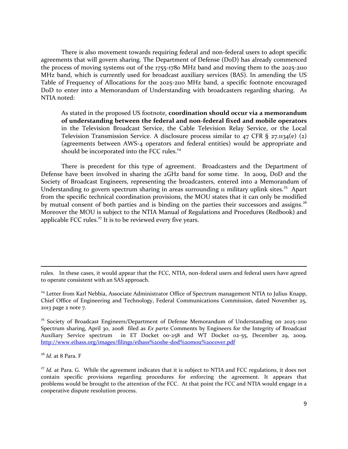There is also movement towards requiring federal and non-federal users to adopt specific agreements that will govern sharing. The Department of Defense (DoD) has already commenced the process of moving systems out of the 1755-1780 MHz band and moving them to the 2025-2110 MHz band, which is currently used for broadcast auxiliary services (BAS). In amending the US Table of Frequency of Allocations for the 2025-2110 MHz band, a specific footnote encouraged DoD to enter into a Memorandum of Understanding with broadcasters regarding sharing. As NTIA noted:

As stated in the proposed US footnote, **coordination should occur via a memorandum of understanding between the federal and non-federal fixed and mobile operators** in the Television Broadcast Service, the Cable Television Relay Service, or the Local Television Transmission Service. A disclosure process similar to  $47$  CFR § 27.1134(e) (2) (agreements between AWS-4 operators and federal entities) would be appropriate and should be incorporated into the FCC rules.<sup>24</sup>

There is precedent for this type of agreement. Broadcasters and the Department of Defense have been involved in sharing the 2GHz band for some time. In 2009, DoD and the Society of Broadcast Engineers, representing the broadcasters, entered into a Memorandum of Understanding to govern spectrum sharing in areas surrounding 11 military uplink sites.<sup>25</sup> Apart from the specific technical coordination provisions, the MOU states that it can only be modified by mutual consent of both parties and is binding on the parties their successors and assigns.<sup>26</sup> Moreover the MOU is subject to the NTIA Manual of Regulations and Procedures (Redbook) and applicable FCC rules. $27$  It is to be reviewed every five years.

<sup>26</sup> *Id.* at 8 Para. F

 $\overline{a}$ 

rules. In these cases, it would appear that the FCC, NTIA, non-federal users and federal users have agreed to operate consistent with an SAS approach.

<sup>&</sup>lt;sup>24</sup> Letter from Karl Nebbia, Associate Administrator Office of Spectrum management NTIA to Julius Knapp, Chief Office of Engineering and Technology, Federal Communications Commission, dated November 25, 2013 page 2 note 7.

 $25$  Society of Broadcast Engineers/Department of Defense Memorandum of Understanding on 2025-2110 Spectrum sharing, April 30, 2008 filed as *Ex parte* Comments by Engineers for the Integrity of Broadcast Auxiliary Service spectrum in ET Docket 00-258 and WT Docket 02-55, December 29, 2009. <http://www.eibass.org/images/filings/eibass%20sbe-dod%20mou%20cover.pdf>

<sup>&</sup>lt;sup>27</sup> *Id.* at Para. G. While the agreement indicates that it is subject to NTIA and FCC regulations, it does not contain specific provisions regarding procedures for enforcing the agreement. It appears that problems would be brought to the attention of the FCC. At that point the FCC and NTIA would engage in a cooperative dispute resolution process.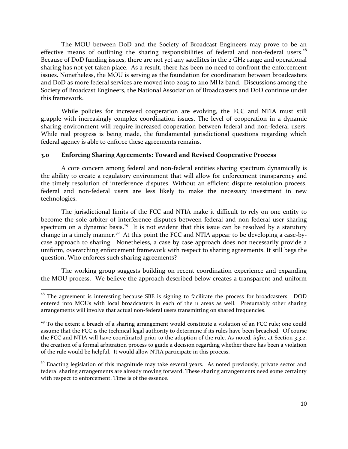The MOU between DoD and the Society of Broadcast Engineers may prove to be an effective means of outlining the sharing responsibilities of federal and non-federal users. $28$ Because of DoD funding issues, there are not yet any satellites in the 2 GHz range and operational sharing has not yet taken place. As a result, there has been no need to confront the enforcement issues. Nonetheless, the MOU is serving as the foundation for coordination between broadcasters and DoD as more federal services are moved into 2025 to 2110 MHz band. Discussions among the Society of Broadcast Engineers, the National Association of Broadcasters and DoD continue under this framework.

While policies for increased cooperation are evolving, the FCC and NTIA must still grapple with increasingly complex coordination issues. The level of cooperation in a dynamic sharing environment will require increased cooperation between federal and non-federal users. While real progress is being made, the fundamental jurisdictional questions regarding which federal agency is able to enforce these agreements remains.

#### **3.0 Enforcing Sharing Agreements: Toward and Revised Cooperative Process**

A core concern among federal and non-federal entities sharing spectrum dynamically is the ability to create a regulatory environment that will allow for enforcement transparency and the timely resolution of interference disputes. Without an efficient dispute resolution process, federal and non-federal users are less likely to make the necessary investment in new technologies.

The jurisdictional limits of the FCC and NTIA make it difficult to rely on one entity to become the sole arbiter of interference disputes between federal and non-federal user sharing spectrum on a dynamic basis.<sup>29</sup> It is not evident that this issue can be resolved by a statutory change in a timely manner.<sup>30</sup> At this point the FCC and NTIA appear to be developing a case-bycase approach to sharing. Nonetheless, a case by case approach does not necessarily provide a uniform, overarching enforcement framework with respect to sharing agreements. It still begs the question. Who enforces such sharing agreements?

The working group suggests building on recent coordination experience and expanding the MOU process. We believe the approach described below creates a transparent and uniform

 $\overline{\phantom{a}}$ 

<sup>&</sup>lt;sup>28</sup> The agreement is interesting because SBE is signing to facilitate the process for broadcasters. DOD entered into MOUs with local broadcasters in each of the 11 areas as well. Presumably other sharing arrangements will involve that actual non-federal users transmitting on shared frequencies.

<sup>&</sup>lt;sup>29</sup> To the extent a breach of a sharing arrangement would constitute a violation of an FCC rule; one could assume that the FCC is the technical legal authority to determine if its rules have been breached. Of course the FCC and NTIA will have coordinated prior to the adoption of the rule. As noted, *infra*, at Section 3.3.2, the creation of a formal arbitration process to guide a decision regarding whether there has been a violation of the rule would be helpful. It would allow NTIA participate in this process.

<sup>&</sup>lt;sup>30</sup> Enacting legislation of this magnitude may take several years. As noted previously, private sector and federal sharing arrangements are already moving forward. These sharing arrangements need some certainty with respect to enforcement. Time is of the essence.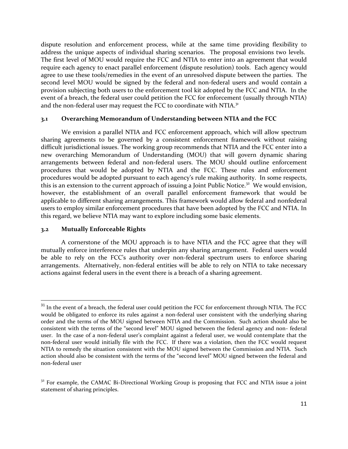dispute resolution and enforcement process, while at the same time providing flexibility to address the unique aspects of individual sharing scenarios. The proposal envisions two levels. The first level of MOU would require the FCC and NTIA to enter into an agreement that would require each agency to enact parallel enforcement (dispute resolution) tools. Each agency would agree to use these tools/remedies in the event of an unresolved dispute between the parties. The second level MOU would be signed by the federal and non-federal users and would contain a provision subjecting both users to the enforcement tool kit adopted by the FCC and NTIA. In the event of a breach, the federal user could petition the FCC for enforcement (usually through NTIA) and the non-federal user may request the FCC to coordinate with NTIA.<sup>31</sup>

### **3.1 Overarching Memorandum of Understanding between NTIA and the FCC**

We envision a parallel NTIA and FCC enforcement approach, which will allow spectrum sharing agreements to be governed by a consistent enforcement framework without raising difficult jurisdictional issues. The working group recommends that NTIA and the FCC enter into a new overarching Memorandum of Understanding (MOU) that will govern dynamic sharing arrangements between federal and non-federal users. The MOU should outline enforcement procedures that would be adopted by NTIA and the FCC. These rules and enforcement procedures would be adopted pursuant to each agency's rule making authority. In some respects, this is an extension to the current approach of issuing a Joint Public Notice.<sup>32</sup> We would envision, however, the establishment of an overall parallel enforcement framework that would be applicable to different sharing arrangements. This framework would allow federal and nonfederal users to employ similar enforcement procedures that have been adopted by the FCC and NTIA. In this regard, we believe NTIA may want to explore including some basic elements.

#### **3.2 Mutually Enforceable Rights**

l

A cornerstone of the MOU approach is to have NTIA and the FCC agree that they will mutually enforce interference rules that underpin any sharing arrangement. Federal users would be able to rely on the FCC's authority over non-federal spectrum users to enforce sharing arrangements. Alternatively, non-federal entities will be able to rely on NTIA to take necessary actions against federal users in the event there is a breach of a sharing agreement.

<sup>&</sup>lt;sup>31</sup> In the event of a breach, the federal user could petition the FCC for enforcement through NTIA. The FCC would be obligated to enforce its rules against a non-federal user consistent with the underlying sharing order and the terms of the MOU signed between NTIA and the Commission. Such action should also be consistent with the terms of the "second level" MOU signed between the federal agency and non- federal user. In the case of a non-federal user's complaint against a federal user, we would contemplate that the non-federal user would initially file with the FCC. If there was a violation, then the FCC would request NTIA to remedy the situation consistent with the MOU signed between the Commission and NTIA. Such action should also be consistent with the terms of the "second level" MOU signed between the federal and non-federal user

<sup>&</sup>lt;sup>32</sup> For example, the CAMAC Bi-Directional Working Group is proposing that FCC and NTIA issue a joint statement of sharing principles.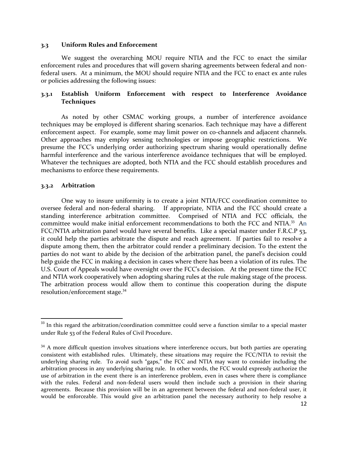#### **3.3 Uniform Rules and Enforcement**

We suggest the overarching MOU require NTIA and the FCC to enact the similar enforcement rules and procedures that will govern sharing agreements between federal and nonfederal users. At a minimum, the MOU should require NTIA and the FCC to enact ex ante rules or policies addressing the following issues:

## **3.3.1 Establish Uniform Enforcement with respect to Interference Avoidance Techniques**

As noted by other CSMAC working groups, a number of interference avoidance techniques may be employed is different sharing scenarios. Each technique may have a different enforcement aspect. For example, some may limit power on co-channels and adjacent channels. Other approaches may employ sensing technologies or impose geographic restrictions. We presume the FCC's underlying order authorizing spectrum sharing would operationally define harmful interference and the various interference avoidance techniques that will be employed. Whatever the techniques are adopted, both NTIA and the FCC should establish procedures and mechanisms to enforce these requirements.

### **3.3.2 Arbitration**

 $\overline{\phantom{a}}$ 

One way to insure uniformity is to create a joint NTIA/FCC coordination committee to oversee federal and non-federal sharing. If appropriate, NTIA and the FCC should create a standing interference arbitration committee. Comprised of NTIA and FCC officials, the committee would make initial enforcement recommendations to both the FCC and NTIA.<sup>33</sup> An FCC/NTIA arbitration panel would have several benefits. Like a special master under F.R.C.P 53, it could help the parties arbitrate the dispute and reach agreement. If parties fail to resolve a dispute among them, then the arbitrator could render a preliminary decision. To the extent the parties do not want to abide by the decision of the arbitration panel, the panel's decision could help guide the FCC in making a decision in cases where there has been a violation of its rules. The U.S. Court of Appeals would have oversight over the FCC's decision. At the present time the FCC and NTIA work cooperatively when adopting sharing rules at the rule making stage of the process. The arbitration process would allow them to continue this cooperation during the dispute resolution/enforcement stage.<sup>34</sup>

<sup>&</sup>lt;sup>33</sup> In this regard the arbitration/coordination committee could serve a function similar to a special master under Rule 53 of the Federal Rules of Civil Procedure.

<sup>&</sup>lt;sup>34</sup> A more difficult question involves situations where interference occurs, but both parties are operating consistent with established rules. Ultimately, these situations may require the FCC/NTIA to revisit the underlying sharing rule. To avoid such "gaps," the FCC and NTIA may want to consider including the arbitration process in any underlying sharing rule. In other words, the FCC would expressly authorize the use of arbitration in the event there is an interference problem, even in cases where there is compliance with the rules. Federal and non-federal users would then include such a provision in their sharing agreements. Because this provision will be in an agreement between the federal and non-federal user, it would be enforceable. This would give an arbitration panel the necessary authority to help resolve a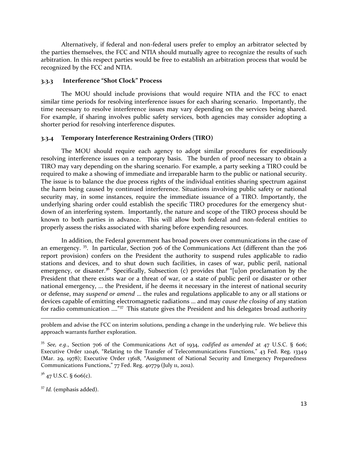Alternatively, if federal and non-federal users prefer to employ an arbitrator selected by the parties themselves, the FCC and NTIA should mutually agree to recognize the results of such arbitration. In this respect parties would be free to establish an arbitration process that would be recognized by the FCC and NTIA.

#### **3.3.3 Interference "Shot Clock" Process**

The MOU should include provisions that would require NTIA and the FCC to enact similar time periods for resolving interference issues for each sharing scenario. Importantly, the time necessary to resolve interference issues may vary depending on the services being shared. For example, if sharing involves public safety services, both agencies may consider adopting a shorter period for resolving interference disputes.

#### **3.3.4 Temporary Interference Restraining Orders (TIRO)**

The MOU should require each agency to adopt similar procedures for expeditiously resolving interference issues on a temporary basis. The burden of proof necessary to obtain a TIRO may vary depending on the sharing scenario. For example, a party seeking a TIRO could be required to make a showing of immediate and irreparable harm to the public or national security. The issue is to balance the due process rights of the individual entities sharing spectrum against the harm being caused by continued interference. Situations involving public safety or national security may, in some instances, require the immediate issuance of a TIRO. Importantly, the underlying sharing order could establish the specific TIRO procedures for the emergency shutdown of an interfering system. Importantly, the nature and scope of the TIRO process should be known to both parties in advance. This will allow both federal and non-federal entities to properly assess the risks associated with sharing before expending resources.

In addition, the Federal government has broad powers over communications in the case of an emergency.<sup>35</sup>. In particular, Section 706 of the Communications Act (different than the 706 report provision) confers on the President the authority to suspend rules applicable to radio stations and devices, and to shut down such facilities, in cases of war, public peril, national emergency, or disaster.<sup>36</sup> Specifically, Subsection (c) provides that "[u]on proclamation by the President that there exists war or a threat of war, or a state of public peril or disaster or other national emergency, ... the President, if he deems it necessary in the interest of national security or defense, may *suspend or amend* … the rules and regulations applicable to any or all stations or devices capable of emitting electromagnetic radiations … and may *cause the closing* of any station for radio communication ...."<sup>37</sup> This statute gives the President and his delegates broad authority

problem and advise the FCC on interim solutions, pending a change in the underlying rule. We believe this approach warrants further exploration.

 $3^{6}$  47 U.S.C. § 606(c).

 $\overline{a}$ 

<sup>35</sup> *See, e.g*., Section 706 of the Communications Act of 1934, *codified as amended* at 47 U.S.C. § 606; Executive Order 12046, "Relating to the Transfer of Telecommunications Functions," 43 Fed. Reg. 13349 (Mar. 29, 1978); Executive Order 13618, "Assignment of National Security and Emergency Preparedness Communications Functions," 77 Fed. Reg. 40779 (July 11, 2012).

<sup>37</sup> *Id.* (emphasis added).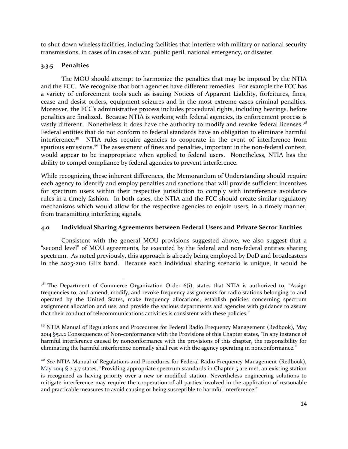to shut down wireless facilities, including facilities that interfere with military or national security transmissions, in cases of in cases of war, public peril, national emergency, or disaster.

## **3.3.5 Penalties**

The MOU should attempt to harmonize the penalties that may be imposed by the NTIA and the FCC. We recognize that both agencies have different remedies. For example the FCC has a variety of enforcement tools such as issuing Notices of Apparent Liability, forfeitures, fines, cease and desist orders, equipment seizures and in the most extreme cases criminal penalties. Moreover, the FCC's administrative process includes procedural rights, including hearings, before penalties are finalized. Because NTIA is working with federal agencies, its enforcement process is vastly different. Nonetheless it does have the authority to modify and revoke federal licenses.<sup>38</sup> Federal entities that do not conform to federal standards have an obligation to eliminate harmful interference.<sup>39</sup> NTIA rules require agencies to cooperate in the event of interference from spurious emissions.<sup>40</sup> The assessment of fines and penalties, important in the non-federal context, would appear to be inappropriate when applied to federal users. Nonetheless, NTIA has the ability to compel compliance by federal agencies to prevent interference.

While recognizing these inherent differences, the Memorandum of Understanding should require each agency to identify and employ penalties and sanctions that will provide sufficient incentives for spectrum users within their respective jurisdiction to comply with interference avoidance rules in a timely fashion. In both cases, the NTIA and the FCC should create similar regulatory mechanisms which would allow for the respective agencies to enjoin users, in a timely manner, from transmitting interfering signals.

## **4.0 Individual Sharing Agreements between Federal Users and Private Sector Entities**

Consistent with the general MOU provisions suggested above, we also suggest that a "second level" of MOU agreements, be executed by the federal and non-federal entities sharing spectrum. As noted previously, this approach is already being employed by DoD and broadcasters in the 2025-2110 GHz band. Because each individual sharing scenario is unique, it would be

l  $38$  The Department of Commerce Organization Order 6(i), states that NTIA is authorized to, "Assign frequencies to, and amend, modify, and revoke frequency assignments for radio stations belonging to and operated by the United States, make frequency allocations, establish policies concerning spectrum assignment allocation and use, and provide the various departments and agencies with guidance to assure that their conduct of telecommunications activities is consistent with these policies."

<sup>&</sup>lt;sup>39</sup> NTIA Manual of Regulations and Procedures for Federal Radio Frequency Management (Redbook), May 2014 §5.1.2 Consequences of Non-conformance with the Provisions of this Chapter states, "In any instance of harmful interference caused by nonconformance with the provisions of this chapter, the responsibility for eliminating the harmful interference normally shall rest with the agency operating in nonconformance."

<sup>&</sup>lt;sup>40</sup> See NTIA Manual of Regulations and Procedures for Federal Radio Frequency Management (Redbook), May 2014 § 2.3.7 states, "Providing appropriate spectrum standards in Chapter 5 are met, an existing station is recognized as having priority over a new or modified station. Nevertheless engineering solutions to mitigate interference may require the cooperation of all parties involved in the application of reasonable and practicable measures to avoid causing or being susceptible to harmful interference."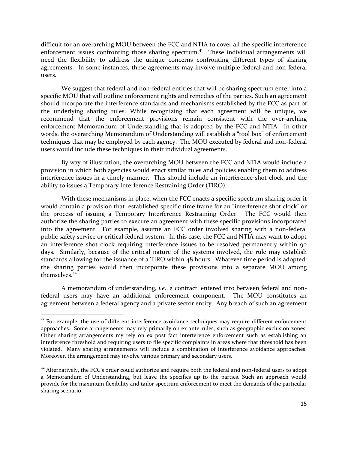difficult for an overarching MOU between the FCC and NTIA to cover all the specific interference enforcement issues confronting those sharing spectrum.<sup>41</sup> These individual arrangements will need the flexibility to address the unique concerns confronting different types of sharing agreements. In some instances, these agreements may involve multiple federal and non-federal users.

We suggest that federal and non-federal entities that will be sharing spectrum enter into a specific MOU that will outline enforcement rights and remedies of the parties. Such an agreement should incorporate the interference standards and mechanisms established by the FCC as part of the underlying sharing rules. While recognizing that each agreement will be unique, we recommend that the enforcement provisions remain consistent with the over-arching enforcement Memorandum of Understanding that is adopted by the FCC and NTIA. In other words, the overarching Memorandum of Understanding will establish a "tool box" of enforcement techniques that may be employed by each agency. The MOU executed by federal and non-federal users would include these techniques in their individual agreements.

By way of illustration, the overarching MOU between the FCC and NTIA would include a provision in which both agencies would enact similar rules and policies enabling them to address interference issues in a timely manner. This should include an interference shot clock and the ability to issues a Temporary Interference Restraining Order (TIRO).

With these mechanisms in place, when the FCC enacts a specific spectrum sharing order it would contain a provision that established specific time frame for an "interference shot clock" or the process of issuing a Temporary Interference Restraining Order. The FCC would then authorize the sharing parties to execute an agreement with these specific provisions incorporated into the agreement. For example, assume an FCC order involved sharing with a non-federal public safety service or critical federal system. In this case, the FCC and NTIA may want to adopt an interference shot clock requiring interference issues to be resolved permanently within 90 days. Similarly, because of the critical nature of the systems involved, the rule may establish standards allowing for the issuance of a TIRO within 48 hours. Whatever time period is adopted, the sharing parties would then incorporate these provisions into a separate MOU among themselves $42$ 

A memorandum of understanding, *i.e*., a contract, entered into between federal and nonfederal users may have an additional enforcement component. The MOU constitutes an agreement between a federal agency and a private sector entity. Any breach of such an agreement

 $\overline{\phantom{a}}$ 

<sup>&</sup>lt;sup>41</sup> For example, the use of different interference avoidance techniques may require different enforcement approaches. Some arrangements may rely primarily on ex ante rules, such as geographic exclusion zones. Other sharing arrangements my rely on ex post fact interference enforcement such as establishing an interference threshold and requiring users to file specific complaints in areas where that threshold has been violated. Many sharing arrangements will include a combination of interference avoidance approaches. Moreover, the arrangement may involve various primary and secondary users.

 $42$  Alternatively, the FCC's order could authorize and require both the federal and non-federal users to adopt a Memorandum of Understanding, but leave the specifics up to the parties. Such an approach would provide for the maximum flexibility and tailor spectrum enforcement to meet the demands of the particular sharing scenario.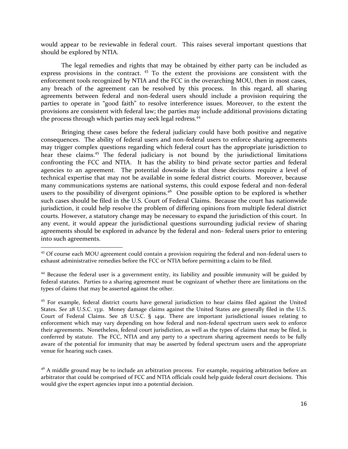would appear to be reviewable in federal court. This raises several important questions that should be explored by NTIA.

The legal remedies and rights that may be obtained by either party can be included as express provisions in the contract.  $43$  To the extent the provisions are consistent with the enforcement tools recognized by NTIA and the FCC in the overarching MOU, then in most cases, any breach of the agreement can be resolved by this process. In this regard, all sharing agreements between federal and non-federal users should include a provision requiring the parties to operate in "good faith" to resolve interference issues. Moreover, to the extent the provisions are consistent with federal law; the parties may include additional provisions dictating the process through which parties may seek legal redress.<sup>44</sup>

Bringing these cases before the federal judiciary could have both positive and negative consequences. The ability of federal users and non-federal users to enforce sharing agreements may trigger complex questions regarding which federal court has the appropriate jurisdiction to hear these claims.<sup>45</sup> The federal judiciary is not bound by the jurisdictional limitations confronting the FCC and NTIA. It has the ability to bind private sector parties and federal agencies to an agreement. The potential downside is that these decisions require a level of technical expertise that may not be available in some federal district courts. Moreover, because many communications systems are national systems, this could expose federal and non-federal users to the possibility of divergent opinions.<sup>46</sup> One possible option to be explored is whether such cases should be filed in the U.S. Court of Federal Claims. Because the court has nationwide jurisdiction, it could help resolve the problem of differing opinions from multiple federal district courts. However, a statutory change may be necessary to expand the jurisdiction of this court. In any event, it would appear the jurisdictional questions surrounding judicial review of sharing agreements should be explored in advance by the federal and non- federal users prior to entering into such agreements.

 $\overline{a}$ 

<sup>&</sup>lt;sup>43</sup> Of course each MOU agreement could contain a provision requiring the federal and non-federal users to exhaust administrative remedies before the FCC or NTIA before permitting a claim to be filed.

<sup>&</sup>lt;sup>44</sup> Because the federal user is a government entity, its liability and possible immunity will be guided by federal statutes. Parties to a sharing agreement must be cognizant of whether there are limitations on the types of claims that may be asserted against the other.

<sup>&</sup>lt;sup>45</sup> For example, federal district courts have general jurisdiction to hear claims filed against the United States. *See* 28 U.S.C. 1331. Money damage claims against the United States are generally filed in the U.S. Court of Federal Claims. See 28 U.S.C. § 1491. There are important jurisdictional issues relating to enforcement which may vary depending on how federal and non-federal spectrum users seek to enforce their agreements. Nonetheless, federal court jurisdiction, as well as the types of claims that may be filed, is conferred by statute. The FCC, NTIA and any party to a spectrum sharing agreement needs to be fully aware of the potential for immunity that may be asserted by federal spectrum users and the appropriate venue for hearing such cases.

 $46$  A middle ground may be to include an arbitration process. For example, requiring arbitration before an arbitrator that could be comprised of FCC and NTIA officials could help guide federal court decisions. This would give the expert agencies input into a potential decision.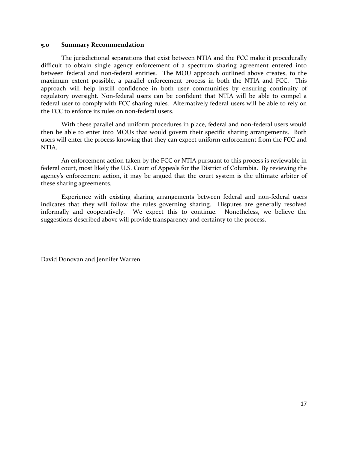#### **5.0 Summary Recommendation**

The jurisdictional separations that exist between NTIA and the FCC make it procedurally difficult to obtain single agency enforcement of a spectrum sharing agreement entered into between federal and non-federal entities. The MOU approach outlined above creates, to the maximum extent possible, a parallel enforcement process in both the NTIA and FCC. This approach will help instill confidence in both user communities by ensuring continuity of regulatory oversight. Non-federal users can be confident that NTIA will be able to compel a federal user to comply with FCC sharing rules. Alternatively federal users will be able to rely on the FCC to enforce its rules on non-federal users.

With these parallel and uniform procedures in place, federal and non-federal users would then be able to enter into MOUs that would govern their specific sharing arrangements. Both users will enter the process knowing that they can expect uniform enforcement from the FCC and NTIA.

An enforcement action taken by the FCC or NTIA pursuant to this process is reviewable in federal court, most likely the U.S. Court of Appeals for the District of Columbia. By reviewing the agency's enforcement action, it may be argued that the court system is the ultimate arbiter of these sharing agreements.

Experience with existing sharing arrangements between federal and non-federal users indicates that they will follow the rules governing sharing. Disputes are generally resolved informally and cooperatively. We expect this to continue. Nonetheless, we believe the suggestions described above will provide transparency and certainty to the process.

David Donovan and Jennifer Warren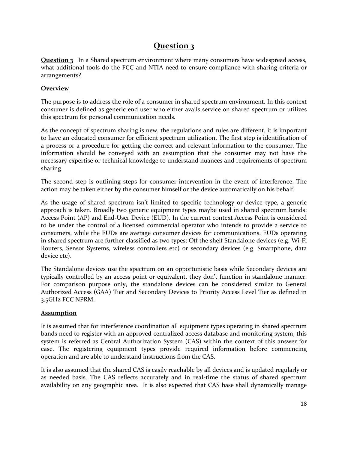# **Question 3**

**Question 3** In a Shared spectrum environment where many consumers have widespread access, what additional tools do the FCC and NTIA need to ensure compliance with sharing criteria or arrangements?

## **Overview**

The purpose is to address the role of a consumer in shared spectrum environment. In this context consumer is defined as generic end user who either avails service on shared spectrum or utilizes this spectrum for personal communication needs.

As the concept of spectrum sharing is new, the regulations and rules are different, it is important to have an educated consumer for efficient spectrum utilization. The first step is identification of a process or a procedure for getting the correct and relevant information to the consumer. The information should be conveyed with an assumption that the consumer may not have the necessary expertise or technical knowledge to understand nuances and requirements of spectrum sharing.

The second step is outlining steps for consumer intervention in the event of interference. The action may be taken either by the consumer himself or the device automatically on his behalf.

As the usage of shared spectrum isn't limited to specific technology or device type, a generic approach is taken. Broadly two generic equipment types maybe used in shared spectrum bands: Access Point (AP) and End-User Device (EUD). In the current context Access Point is considered to be under the control of a licensed commercial operator who intends to provide a service to consumers, while the EUDs are average consumer devices for communications. EUDs operating in shared spectrum are further classified as two types: Off the shelf Standalone devices (e.g. Wi-Fi Routers, Sensor Systems, wireless controllers etc) or secondary devices (e.g. Smartphone, data device etc).

The Standalone devices use the spectrum on an opportunistic basis while Secondary devices are typically controlled by an access point or equivalent, they don't function in standalone manner. For comparison purpose only, the standalone devices can be considered similar to General Authorized Access (GAA) Tier and Secondary Devices to Priority Access Level Tier as defined in 3.5GHz FCC NPRM.

## **Assumption**

It is assumed that for interference coordination all equipment types operating in shared spectrum bands need to register with an approved centralized access database and monitoring system, this system is referred as Central Authorization System (CAS) within the context of this answer for ease. The registering equipment types provide required information before commencing operation and are able to understand instructions from the CAS.

It is also assumed that the shared CAS is easily reachable by all devices and is updated regularly or as needed basis. The CAS reflects accurately and in real-time the status of shared spectrum availability on any geographic area. It is also expected that CAS base shall dynamically manage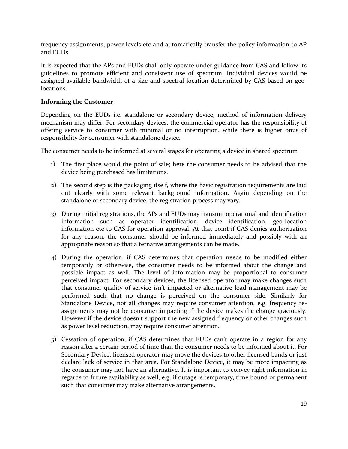frequency assignments; power levels etc and automatically transfer the policy information to AP and EUDs.

It is expected that the APs and EUDs shall only operate under guidance from CAS and follow its guidelines to promote efficient and consistent use of spectrum. Individual devices would be assigned available bandwidth of a size and spectral location determined by CAS based on geolocations.

## **Informing the Customer**

Depending on the EUDs i.e. standalone or secondary device, method of information delivery mechanism may differ. For secondary devices, the commercial operator has the responsibility of offering service to consumer with minimal or no interruption, while there is higher onus of responsibility for consumer with standalone device.

The consumer needs to be informed at several stages for operating a device in shared spectrum

- 1) The first place would the point of sale; here the consumer needs to be advised that the device being purchased has limitations.
- 2) The second step is the packaging itself, where the basic registration requirements are laid out clearly with some relevant background information. Again depending on the standalone or secondary device, the registration process may vary.
- 3) During initial registrations, the APs and EUDs may transmit operational and identification information such as operator identification, device identification, geo-location information etc to CAS for operation approval. At that point if CAS denies authorization for any reason, the consumer should be informed immediately and possibly with an appropriate reason so that alternative arrangements can be made.
- 4) During the operation, if CAS determines that operation needs to be modified either temporarily or otherwise, the consumer needs to be informed about the change and possible impact as well. The level of information may be proportional to consumer perceived impact. For secondary devices, the licensed operator may make changes such that consumer quality of service isn't impacted or alternative load management may be performed such that no change is perceived on the consumer side. Similarly for Standalone Device, not all changes may require consumer attention, e.g. frequency reassignments may not be consumer impacting if the device makes the change graciously. However if the device doesn't support the new assigned frequency or other changes such as power level reduction, may require consumer attention.
- 5) Cessation of operation, if CAS determines that EUDs can't operate in a region for any reason after a certain period of time than the consumer needs to be informed about it. For Secondary Device, licensed operator may move the devices to other licensed bands or just declare lack of service in that area. For Standalone Device, it may be more impacting as the consumer may not have an alternative. It is important to convey right information in regards to future availability as well, e.g. if outage is temporary, time bound or permanent such that consumer may make alternative arrangements.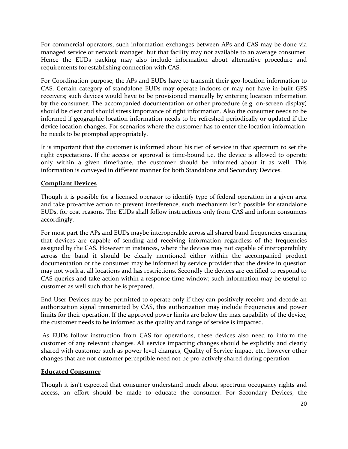For commercial operators, such information exchanges between APs and CAS may be done via managed service or network manager, but that facility may not available to an average consumer. Hence the EUDs packing may also include information about alternative procedure and requirements for establishing connection with CAS.

For Coordination purpose, the APs and EUDs have to transmit their geo-location information to CAS. Certain category of standalone EUDs may operate indoors or may not have in-built GPS receivers; such devices would have to be provisioned manually by entering location information by the consumer. The accompanied documentation or other procedure (e.g. on-screen display) should be clear and should stress importance of right information. Also the consumer needs to be informed if geographic location information needs to be refreshed periodically or updated if the device location changes. For scenarios where the customer has to enter the location information, he needs to be prompted appropriately.

It is important that the customer is informed about his tier of service in that spectrum to set the right expectations. If the access or approval is time-bound i.e. the device is allowed to operate only within a given timeframe, the customer should be informed about it as well. This information is conveyed in different manner for both Standalone and Secondary Devices.

## **Compliant Devices**

Though it is possible for a licensed operator to identify type of federal operation in a given area and take pro-active action to prevent interference, such mechanism isn't possible for standalone EUDs, for cost reasons. The EUDs shall follow instructions only from CAS and inform consumers accordingly.

For most part the APs and EUDs maybe interoperable across all shared band frequencies ensuring that devices are capable of sending and receiving information regardless of the frequencies assigned by the CAS. However in instances, where the devices may not capable of interoperability across the band it should be clearly mentioned either within the accompanied product documentation or the consumer may be informed by service provider that the device in question may not work at all locations and has restrictions. Secondly the devices are certified to respond to CAS queries and take action within a response time window; such information may be useful to customer as well such that he is prepared.

End User Devices may be permitted to operate only if they can positively receive and decode an authorization signal transmitted by CAS, this authorization may include frequencies and power limits for their operation. If the approved power limits are below the max capability of the device, the customer needs to be informed as the quality and range of service is impacted.

As EUDs follow instruction from CAS for operations, these devices also need to inform the customer of any relevant changes. All service impacting changes should be explicitly and clearly shared with customer such as power level changes, Quality of Service impact etc, however other changes that are not customer perceptible need not be pro-actively shared during operation

## **Educated Consumer**

Though it isn't expected that consumer understand much about spectrum occupancy rights and access, an effort should be made to educate the consumer. For Secondary Devices, the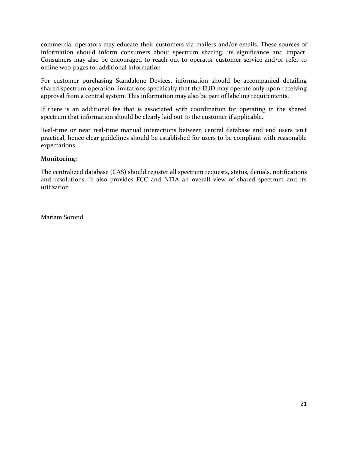commercial operators may educate their customers via mailers and/or emails. These sources of information should inform consumers about spectrum sharing, its significance and impact. Consumers may also be encouraged to reach out to operator customer service and/or refer to online web-pages for additional information

For customer purchasing Standalone Devices, information should be accompanied detailing shared spectrum operation limitations specifically that the EUD may operate only upon receiving approval from a central system. This information may also be part of labeling requirements.

If there is an additional fee that is associated with coordination for operating in the shared spectrum that information should be clearly laid out to the customer if applicable.

Real-time or near real-time manual interactions between central database and end users isn't practical, hence clear guidelines should be established for users to be compliant with reasonable expectations.

## **Monitoring:**

The centralized database (CAS) should register all spectrum requests, status, denials, notifications and resolutions. It also provides FCC and NTIA an overall view of shared spectrum and its utilization.

Mariam Sorond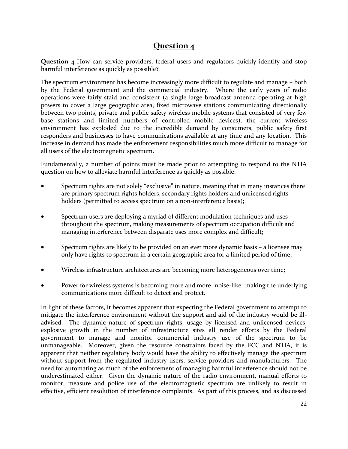# **Question 4**

**Question 4** How can service providers, federal users and regulators quickly identify and stop harmful interference as quickly as possible?

The spectrum environment has become increasingly more difficult to regulate and manage – both by the Federal government and the commercial industry. Where the early years of radio operations were fairly staid and consistent (a single large broadcast antenna operating at high powers to cover a large geographic area, fixed microwave stations communicating directionally between two points, private and public safety wireless mobile systems that consisted of very few base stations and limited numbers of controlled mobile devices), the current wireless environment has exploded due to the incredible demand by consumers, public safety first responders and businesses to have communications available at any time and any location. This increase in demand has made the enforcement responsibilities much more difficult to manage for all users of the electromagnetic spectrum.

Fundamentally, a number of points must be made prior to attempting to respond to the NTIA question on how to alleviate harmful interference as quickly as possible:

- Spectrum rights are not solely "exclusive" in nature, meaning that in many instances there are primary spectrum rights holders, secondary rights holders and unlicensed rights holders (permitted to access spectrum on a non-interference basis);
- Spectrum users are deploying a myriad of different modulation techniques and uses throughout the spectrum, making measurements of spectrum occupation difficult and managing interference between disparate uses more complex and difficult;
- Spectrum rights are likely to be provided on an ever more dynamic basis a licensee may only have rights to spectrum in a certain geographic area for a limited period of time;
- Wireless infrastructure architectures are becoming more heterogeneous over time;
- Power for wireless systems is becoming more and more "noise-like" making the underlying communications more difficult to detect and protect.

In light of these factors, it becomes apparent that expecting the Federal government to attempt to mitigate the interference environment without the support and aid of the industry would be illadvised. The dynamic nature of spectrum rights, usage by licensed and unlicensed devices, explosive growth in the number of infrastructure sites all render efforts by the Federal government to manage and monitor commercial industry use of the spectrum to be unmanageable. Moreover, given the resource constraints faced by the FCC and NTIA, it is apparent that neither regulatory body would have the ability to effectively manage the spectrum without support from the regulated industry users, service providers and manufacturers. The need for automating as much of the enforcement of managing harmful interference should not be underestimated either. Given the dynamic nature of the radio environment, manual efforts to monitor, measure and police use of the electromagnetic spectrum are unlikely to result in effective, efficient resolution of interference complaints. As part of this process, and as discussed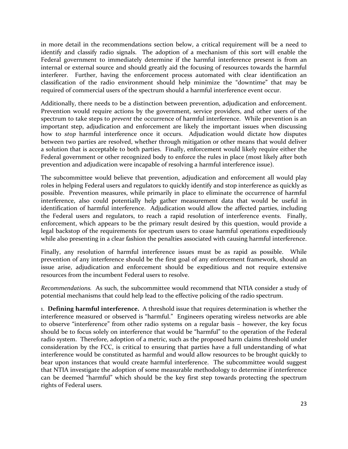in more detail in the recommendations section below, a critical requirement will be a need to identify and classify radio signals. The adoption of a mechanism of this sort will enable the Federal government to immediately determine if the harmful interference present is from an internal or external source and should greatly aid the focusing of resources towards the harmful interferer. Further, having the enforcement process automated with clear identification an classification of the radio environment should help minimize the "downtime" that may be required of commercial users of the spectrum should a harmful interference event occur.

Additionally, there needs to be a distinction between prevention, adjudication and enforcement. Prevention would require actions by the government, service providers, and other users of the spectrum to take steps to *prevent* the occurrence of harmful interference. While prevention is an important step, adjudication and enforcement are likely the important issues when discussing how to *stop* harmful interference once it occurs. Adjudication would dictate how disputes between two parties are resolved, whether through mitigation or other means that would deliver a solution that is acceptable to both parties. Finally, enforcement would likely require either the Federal government or other recognized body to enforce the rules in place (most likely after both prevention and adjudication were incapable of resolving a harmful interference issue).

The subcommittee would believe that prevention, adjudication and enforcement all would play roles in helping Federal users and regulators to quickly identify and stop interference as quickly as possible. Prevention measures, while primarily in place to eliminate the occurrence of harmful interference, also could potentially help gather measurement data that would be useful in identification of harmful interference. Adjudication would allow the affected parties, including the Federal users and regulators, to reach a rapid resolution of interference events. Finally, enforcement, which appears to be the primary result desired by this question, would provide a legal backstop of the requirements for spectrum users to cease harmful operations expeditiously while also presenting in a clear fashion the penalties associated with causing harmful interference.

Finally, any resolution of harmful interference issues must be as rapid as possible. While prevention of any interference should be the first goal of any enforcement framework, should an issue arise, adjudication and enforcement should be expeditious and not require extensive resources from the incumbent Federal users to resolve.

*Recommendations.* As such, the subcommittee would recommend that NTIA consider a study of potential mechanisms that could help lead to the effective policing of the radio spectrum.

1. **Defining harmful interference.** A threshold issue that requires determination is whether the interference measured or observed is "harmful." Engineers operating wireless networks are able to observe "interference" from other radio systems on a regular basis – however, the key focus should be to focus solely on interference that would be "harmful" to the operation of the Federal radio system. Therefore, adoption of a metric, such as the proposed harm claims threshold under consideration by the FCC, is critical to ensuring that parties have a full understanding of what interference would be constituted as harmful and would allow resources to be brought quickly to bear upon instances that would create harmful interference. The subcommittee would suggest that NTIA investigate the adoption of some measurable methodology to determine if interference can be deemed "harmful" which should be the key first step towards protecting the spectrum rights of Federal users.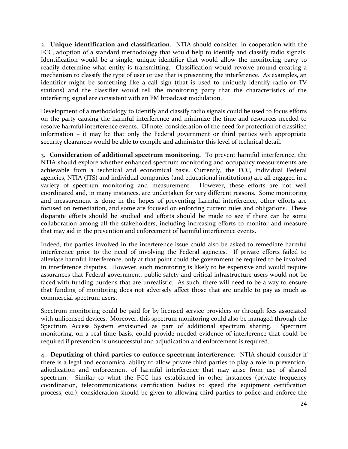2. **Unique identification and classification**. NTIA should consider, in cooperation with the FCC, adoption of a standard methodology that would help to identify and classify radio signals. Identification would be a single, unique identifier that would allow the monitoring party to readily determine what entity is transmitting. Classification would revolve around creating a mechanism to classify the type of user or use that is presenting the interference. As examples, an identifier might be something like a call sign (that is used to uniquely identify radio or TV stations) and the classifier would tell the monitoring party that the characteristics of the interfering signal are consistent with an FM broadcast modulation.

Development of a methodology to identify and classify radio signals could be used to focus efforts on the party causing the harmful interference and minimize the time and resources needed to resolve harmful interference events. Of note, consideration of the need for protection of classified information – it may be that only the Federal government or third parties with appropriate security clearances would be able to compile and administer this level of technical detail.

3. **Consideration of additional spectrum monitoring.** To prevent harmful interference, the NTIA should explore whether enhanced spectrum monitoring and occupancy measurements are achievable from a technical and economical basis. Currently, the FCC, individual Federal agencies, NTIA (ITS) and individual companies (and educational institutions) are all engaged in a variety of spectrum monitoring and measurement. However, these efforts are not well coordinated and, in many instances, are undertaken for very different reasons. Some monitoring and measurement is done in the hopes of preventing harmful interference, other efforts are focused on remediation, and some are focused on enforcing current rules and obligations. These disparate efforts should be studied and efforts should be made to see if there can be some collaboration among all the stakeholders, including increasing efforts to monitor and measure that may aid in the prevention and enforcement of harmful interference events.

Indeed, the parties involved in the interference issue could also be asked to remediate harmful interference prior to the need of involving the Federal agencies. If private efforts failed to alleviate harmful interference, only at that point could the government be required to be involved in interference disputes. However, such monitoring is likely to be expensive and would require assurances that Federal government, public safety and critical infrastructure users would not be faced with funding burdens that are unrealistic. As such, there will need to be a way to ensure that funding of monitoring does not adversely affect those that are unable to pay as much as commercial spectrum users.

Spectrum monitoring could be paid for by licensed service providers or through fees associated with unlicensed devices. Moreover, this spectrum monitoring could also be managed through the Spectrum Access System envisioned as part of additional spectrum sharing. Spectrum monitoring, on a real-time basis, could provide needed evidence of interference that could be required if prevention is unsuccessful and adjudication and enforcement is required.

4. **Deputizing of third parties to enforce spectrum interference**. NTIA should consider if there is a legal and economical ability to allow private third parties to play a role in prevention, adjudication and enforcement of harmful interference that may arise from use of shared spectrum. Similar to what the FCC has established in other instances (private frequency coordination, telecommunications certification bodies to speed the equipment certification process, etc.), consideration should be given to allowing third parties to police and enforce the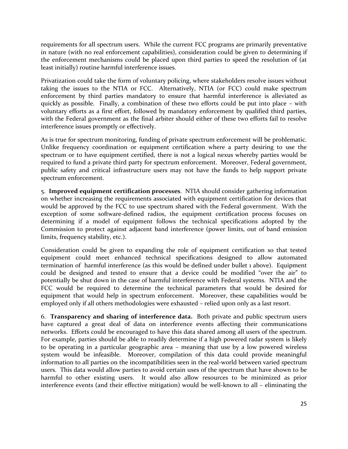requirements for all spectrum users. While the current FCC programs are primarily preventative in nature (with no real enforcement capabilities), consideration could be given to determining if the enforcement mechanisms could be placed upon third parties to speed the resolution of (at least initially) routine harmful interference issues.

Privatization could take the form of voluntary policing, where stakeholders resolve issues without taking the issues to the NTIA or FCC. Alternatively, NTIA (or FCC) could make spectrum enforcement by third parties mandatory to ensure that harmful interference is alleviated as quickly as possible. Finally, a combination of these two efforts could be put into place – with voluntary efforts as a first effort, followed by mandatory enforcement by qualified third parties, with the Federal government as the final arbiter should either of these two efforts fail to resolve interference issues promptly or effectively.

As is true for spectrum monitoring, funding of private spectrum enforcement will be problematic. Unlike frequency coordination or equipment certification where a party desiring to use the spectrum or to have equipment certified, there is not a logical nexus whereby parties would be required to fund a private third party for spectrum enforcement. Moreover, Federal government, public safety and critical infrastructure users may not have the funds to help support private spectrum enforcement.

5. **Improved equipment certification processes**. NTIA should consider gathering information on whether increasing the requirements associated with equipment certification for devices that would be approved by the FCC to use spectrum shared with the Federal government. With the exception of some software-defined radios, the equipment certification process focuses on determining if a model of equipment follows the technical specifications adopted by the Commission to protect against adjacent band interference (power limits, out of band emission limits, frequency stability, etc.).

Consideration could be given to expanding the role of equipment certification so that tested equipment could meet enhanced technical specifications designed to allow automated termination of harmful interference (as this would be defined under bullet 1 above). Equipment could be designed and tested to ensure that a device could be modified "over the air" to potentially be shut down in the case of harmful interference with Federal systems. NTIA and the FCC would be required to determine the technical parameters that would be desired for equipment that would help in spectrum enforcement. Moreover, these capabilities would be employed only if all others methodologies were exhausted – relied upon only as a last resort.

6. **Transparency and sharing of interference data.** Both private and public spectrum users have captured a great deal of data on interference events affecting their communications networks. Efforts could be encouraged to have this data shared among all users of the spectrum. For example, parties should be able to readily determine if a high powered radar system is likely to be operating in a particular geographic area – meaning that use by a low powered wireless system would be infeasible. Moreover, compilation of this data could provide meaningful information to all parties on the incompatibilities seen in the real-world between varied spectrum users. This data would allow parties to avoid certain uses of the spectrum that have shown to be harmful to other existing users. It would also allow resources to be minimized as prior interference events (and their effective mitigation) would be well-known to all – eliminating the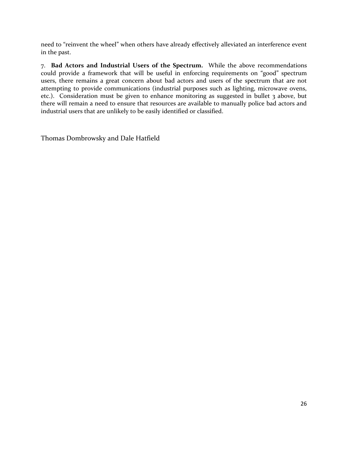need to "reinvent the wheel" when others have already effectively alleviated an interference event in the past.

7. **Bad Actors and Industrial Users of the Spectrum.** While the above recommendations could provide a framework that will be useful in enforcing requirements on "good" spectrum users, there remains a great concern about bad actors and users of the spectrum that are not attempting to provide communications (industrial purposes such as lighting, microwave ovens, etc.). Consideration must be given to enhance monitoring as suggested in bullet 3 above, but there will remain a need to ensure that resources are available to manually police bad actors and industrial users that are unlikely to be easily identified or classified.

Thomas Dombrowsky and Dale Hatfield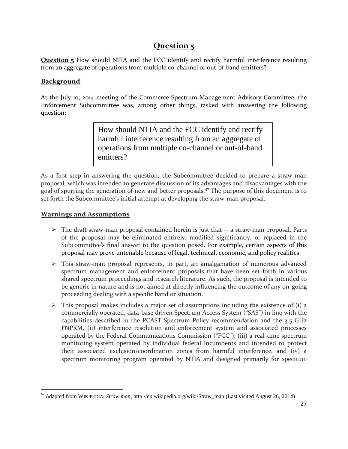# **Question 5**

**Question 5** How should NTIA and the FCC identify and rectify harmful interference resulting from an aggregate of operations from multiple co-channel or out-of-band emitters?

## **Background**

At the July 10, 2014 meeting of the Commerce Spectrum Management Advisory Committee, the Enforcement Subcommittee was, among other things, tasked with answering the following question:

> How should NTIA and the FCC identify and rectify harmful interference resulting from an aggregate of operations from multiple co-channel or out-of-band emitters?

As a first step in answering the question, the Subcommittee decided to prepare a straw-man proposal, which was intended to generate discussion of its advantages and disadvantages with the goal of spurring the generation of new and better proposals.<sup>47</sup> The purpose of this document is to set forth the Subcommittee's initial attempt at developing the straw-man proposal.

## **Warnings and Assumptions**

 $\overline{\phantom{a}}$ 

- $\triangleright$  The draft straw-man proposal contained herein is just that -- a straw-man proposal. Parts of the proposal may be eliminated entirely, modified significantly, or replaced in the Subcommittee's final answer to the question posed. For example, certain aspects of this proposal may prove untenable because of legal, technical, economic, and policy realities.
- This straw-man proposal represents, in part, an amalgamation of numerous advanced spectrum management and enforcement proposals that have been set forth in various shared spectrum proceedings and research literature. As such, the proposal is intended to be generic in nature and is not aimed at directly influencing the outcome of any on-going proceeding dealing with a specific band or situation.
- $\triangleright$  This proposal makes includes a major set of assumptions including the existence of (i) a commercially operated, data-base driven Spectrum Access System ("SAS") in line with the capabilities described in the PCAST Spectrum Policy recommendation and the 3.5 GHz FNPRM, (ii) interference resolution and enforcement system and associated processes operated by the Federal Communications Commission ("FCC"), (iii) a real-time spectrum monitoring system operated by individual federal incumbents and intended to protect their associated exclusion/coordination zones from harmful interference, and (iv) a spectrum monitoring program operated by NTIA and designed primarily for spectrum

<sup>47</sup> Adapted from WIKIPEDIA, *Straw man*, http://en.wikipedia.org/wiki/Straw\_man (Last visited August 26, 2014)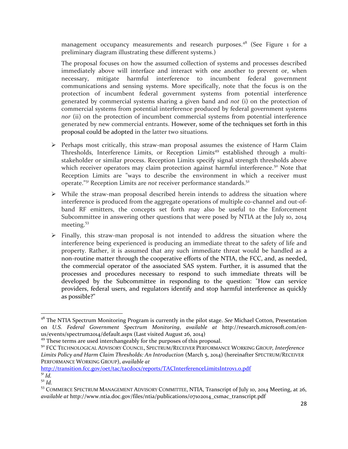management occupancy measurements and research purposes.<sup>48</sup> (See Figure  $_1$  for a preliminary diagram illustrating these different systems.)

The proposal focuses on how the assumed collection of systems and processes described immediately above will interface and interact with one another to prevent or, when necessary, mitigate harmful interference to incumbent federal government communications and sensing systems. More specifically, note that the focus is on the protection of incumbent federal government systems from potential interference generated by commercial systems sharing a given band and *not* (i) on the protection of commercial systems from potential interference produced by federal government systems *nor* (ii) on the protection of incumbent commercial systems from potential interference generated by new commercial entrants. However, some of the techniques set forth in this proposal could be adopted in the latter two situations.

- $\triangleright$  Perhaps most critically, this straw-man proposal assumes the existence of Harm Claim Thresholds, Interference Limits, or Reception Limits<sup>49</sup> established through a multistakeholder or similar process. Reception Limits specify signal strength thresholds above which receiver operators may claim protection against harmful interference.<sup>50</sup> Note that Reception Limits are "ways to describe the environment in which a receiver must operate.<sup>"51</sup> Reception Limits are *not* receiver performance standards.<sup>52</sup>
- $\triangleright$  While the straw-man proposal described herein intends to address the situation where interference is produced from the aggregate operations of multiple co-channel and out-ofband RF emitters, the concepts set forth may also be useful to the Enforcement Subcommittee in answering other questions that were posed by NTIA at the July 10, 2014 meeting.<sup>53</sup>
- $\triangleright$  Finally, this straw-man proposal is not intended to address the situation where the interference being experienced is producing an immediate threat to the safety of life and property. Rather, it is assumed that any such immediate threat would be handled as a non-routine matter through the cooperative efforts of the NTIA, the FCC, and, as needed, the commercial operator of the associated SAS system. Further, it is assumed that the processes and procedures necessary to respond to such immediate threats will be developed by the Subcommittee in responding to the question: "How can service providers, federal users, and regulators identify and stop harmful interference as quickly as possible?"

http://transition.fcc.gov/oet/tac/tacdocs/reports/TACInterferenceLimitsIntrov1.o.pdf

 $\overline{\phantom{a}}$ 

<sup>48</sup> The NTIA Spectrum Monitoring Program is currently in the pilot stage. *See* Michael Cotton, Presentation on *U.S. Federal Government Spectrum Monitoring*, *available at* http://research.microsoft.com/enus/events/spectrum2014/default.aspx (Last visited August 26, 2014)

<sup>&</sup>lt;sup>49</sup> These terms are used interchangeably for the purposes of this proposal.

<sup>50</sup> FCC TECHNOLOGICAL ADVISORY COUNCIL, SPECTRUM/RECEIVER PERFORMANCE WORKING GROUP*, Interference Limits Policy and Harm Claim Thresholds: An Introduction* (March 5, 2014) (hereinafter SPECTRUM/RECEIVER PERFORMANCE WORKING GROUP), *available at*

 $^{51}$  *Id.* <sup>52</sup> *Id.*

<sup>&</sup>lt;sup>53</sup> COMMERCE SPECTRUM MANAGEMENT ADVISORY COMMITTEE, NTIA, Transcript of July 10, 2014 Meeting, at 26, *available at* http://www.ntia.doc.gov/files/ntia/publications/07102014\_csmac\_transcript.pdf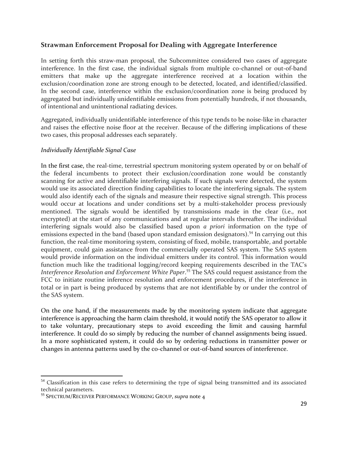## **Strawman Enforcement Proposal for Dealing with Aggregate Interference**

In setting forth this straw-man proposal, the Subcommittee considered two cases of aggregate interference. In the first case, the individual signals from multiple co-channel or out-of-band emitters that make up the aggregate interference received at a location within the exclusion/coordination zone are strong enough to be detected, located, and identified/classified. In the second case, interference within the exclusion/coordination zone is being produced by aggregated but individually unidentifiable emissions from potentially hundreds, if not thousands, of intentional and unintentional radiating devices.

Aggregated, individually unidentifiable interference of this type tends to be noise-like in character and raises the effective noise floor at the receiver. Because of the differing implications of these two cases, this proposal addresses each separately.

## *Individually Identifiable Signal Case*

In the first case, the real-time, terrestrial spectrum monitoring system operated by or on behalf of the federal incumbents to protect their exclusion/coordination zone would be constantly scanning for active and identifiable interfering signals. If such signals were detected, the system would use its associated direction finding capabilities to locate the interfering signals. The system would also identify each of the signals and measure their respective signal strength. This process would occur at locations and under conditions set by a multi-stakeholder process previously mentioned. The signals would be identified by transmissions made in the clear (i.e., not encrypted) at the start of any communications and at regular intervals thereafter. The individual interfering signals would also be classified based upon *a priori* information on the type of emissions expected in the band (based upon standard emission designators).<sup>54</sup> In carrying out this function, the real-time monitoring system, consisting of fixed, mobile, transportable, and portable equipment, could gain assistance from the commercially operated SAS system. The SAS system would provide information on the individual emitters under its control. This information would function much like the traditional logging/record keeping requirements described in the TAC's *Interference Resolution and Enforcement White Paper*. <sup>55</sup> The SAS could request assistance from the FCC to initiate routine inference resolution and enforcement procedures, if the interference in total or in part is being produced by systems that are not identifiable by or under the control of the SAS system.

On the one hand, if the measurements made by the monitoring system indicate that aggregate interference is approaching the harm claim threshold, it would notify the SAS operator to allow it to take voluntary, precautionary steps to avoid exceeding the limit and causing harmful interference. It could do so simply by reducing the number of channel assignments being issued. In a more sophisticated system, it could do so by ordering reductions in transmitter power or changes in antenna patterns used by the co-channel or out-of-band sources of interference.

 $\overline{a}$ 

<sup>&</sup>lt;sup>54</sup> Classification in this case refers to determining the type of signal being transmitted and its associated technical parameters.

<sup>55</sup> SPECTRUM/RECEIVER PERFORMANCE WORKING GROUP, *supra* note 4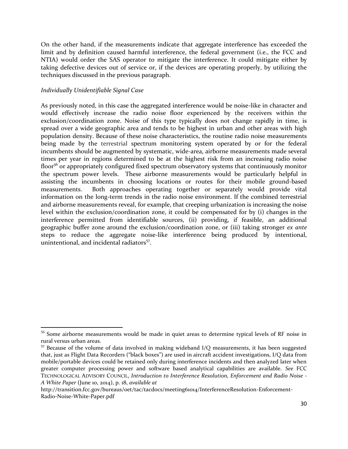On the other hand, if the measurements indicate that aggregate interference has exceeded the limit and by definition caused harmful interference, the federal government (i.e., the FCC and NTIA) would order the SAS operator to mitigate the interference. It could mitigate either by taking defective devices out of service or, if the devices are operating properly, by utilizing the techniques discussed in the previous paragraph.

## *Individually Unidentifiable Signal Case*

 $\overline{a}$ 

As previously noted, in this case the aggregated interference would be noise-like in character and would effectively increase the radio noise floor experienced by the receivers within the exclusion/coordination zone. Noise of this type typically does not change rapidly in time, is spread over a wide geographic area and tends to be highest in urban and other areas with high population density. Because of these noise characteristics, the routine radio noise measurements being made by the terrestrial spectrum monitoring system operated by or for the federal incumbents should be augmented by systematic, wide-area, airborne measurements made several times per year in regions determined to be at the highest risk from an increasing radio noise floor<sup>56</sup> or appropriately configured fixed spectrum observatory systems that continuously monitor the spectrum power levels. These airborne measurements would be particularly helpful in assisting the incumbents in choosing locations or routes for their mobile ground-based measurements. Both approaches operating together or separately would provide vital information on the long-term trends in the radio noise environment. If the combined terrestrial and airborne measurements reveal, for example, that creeping urbanization is increasing the noise level within the exclusion/coordination zone, it could be compensated for by (i) changes in the interference permitted from identifiable sources, (ii) providing, if feasible, an additional geographic buffer zone around the exclusion/coordination zone, or (iii) taking stronger *ex ante*  steps to reduce the aggregate noise-like interference being produced by intentional, unintentional, and incidental radiators<sup>57</sup>.

<sup>&</sup>lt;sup>56</sup> Some airborne measurements would be made in quiet areas to determine typical levels of RF noise in rural versus urban areas.

<sup>57</sup> Because of the volume of data involved in making wideband I/Q measurements, it has been suggested that, just as Flight Data Recorders ("black boxes") are used in aircraft accident investigations, I/Q data from mobile/portable devices could be retained only during interference incidents and then analyzed later when greater computer processing power and software based analytical capabilities are available. *See* FCC TECHNOLOGICAL ADVISORY COUNCIL, *Introduction to Interference Resolution, Enforcement and Radio Noise - A White Paper* (June 10, 2014), p. 18, *available at*

http://transition.fcc.gov/bureaus/oet/tac/tacdocs/meeting61014/InterferenceResolution-Enforcement-Radio-Noise-White-Paper.pdf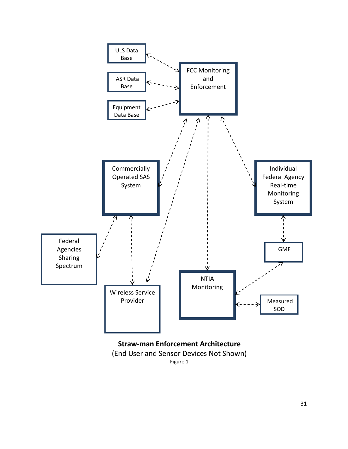

Figure 1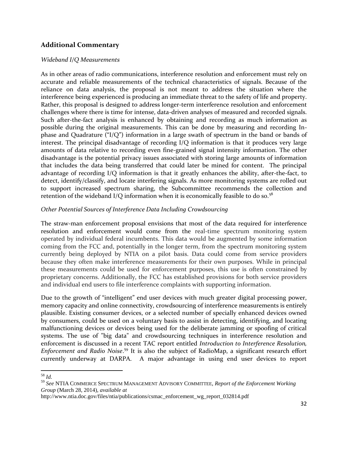## **Additional Commentary**

### *Wideband I/Q Measurements*

As in other areas of radio communications, interference resolution and enforcement must rely on accurate and reliable measurements of the technical characteristics of signals. Because of the reliance on data analysis, the proposal is not meant to address the situation where the interference being experienced is producing an immediate threat to the safety of life and property. Rather, this proposal is designed to address longer-term interference resolution and enforcement challenges where there is time for intense, data-driven analyses of measured and recorded signals. Such after-the-fact analysis is enhanced by obtaining and recording as much information as possible during the original measurements. This can be done by measuring and recording Inphase and Quadrature ("I/Q") information in a large swath of spectrum in the band or bands of interest. The principal disadvantage of recording I/Q information is that it produces very large amounts of data relative to recording even fine-grained signal intensity information. The other disadvantage is the potential privacy issues associated with storing large amounts of information that includes the data being transferred that could later be mined for content. The principal advantage of recording I/Q information is that it greatly enhances the ability, after-the-fact, to detect, identify/classify, and locate interfering signals. As more monitoring systems are rolled out to support increased spectrum sharing, the Subcommittee recommends the collection and retention of the wideband I/Q information when it is economically feasible to do so.<sup>58</sup>

## *Other Potential Sources of Interference Data Including Crowdsourcing*

The straw-man enforcement proposal envisions that most of the data required for interference resolution and enforcement would come from the real-time spectrum monitoring system operated by individual federal incumbents. This data would be augmented by some information coming from the FCC and, potentially in the longer term, from the spectrum monitoring system currently being deployed by NTIA on a pilot basis. Data could come from service providers because they often make interference measurements for their own purposes. While in principal these measurements could be used for enforcement purposes, this use is often constrained by proprietary concerns. Additionally, the FCC has established provisions for both service providers and individual end users to file interference complaints with supporting information.

Due to the growth of "intelligent" end user devices with much greater digital processing power, memory capacity and online connectivity, crowdsourcing of interference measurements is entirely plausible. Existing consumer devices, or a selected number of specially enhanced devices owned by consumers, could be used on a voluntary basis to assist in detecting, identifying, and locating malfunctioning devices or devices being used for the deliberate jamming or spoofing of critical systems. The use of "big data" and crowdsourcing techniques in interference resolution and enforcement is discussed in a recent TAC report entitled *Introduction to Interference Resolution, Enforcement and Radio Noise*. <sup>59</sup> It is also the subject of RadioMap, a significant research effort currently underway at DARPA. A major advantage in using end user devices to report

 $\overline{a}$ 

<sup>58</sup> *Id.* 

<sup>59</sup> *See* NTIA COMMERCE SPECTRUM MANAGEMENT ADVISORY COMMITTEE, *Report of the Enforcement Working Group* (March 28, 2014), *available at*

http://www.ntia.doc.gov/files/ntia/publications/csmac\_enforcement\_wg\_report\_032814.pdf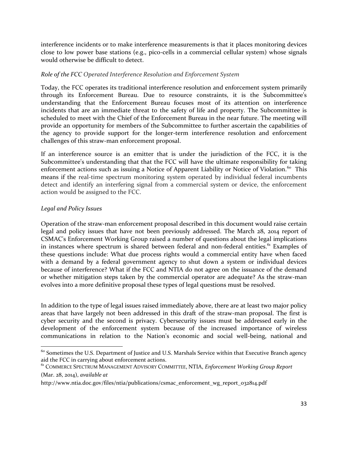interference incidents or to make interference measurements is that it places monitoring devices close to low power base stations (e.g., pico-cells in a commercial cellular system) whose signals would otherwise be difficult to detect.

## *Role of the FCC Operated Interference Resolution and Enforcement System*

Today, the FCC operates its traditional interference resolution and enforcement system primarily through its Enforcement Bureau. Due to resource constraints, it is the Subcommittee's understanding that the Enforcement Bureau focuses most of its attention on interference incidents that are an immediate threat to the safety of life and property. The Subcommittee is scheduled to meet with the Chief of the Enforcement Bureau in the near future. The meeting will provide an opportunity for members of the Subcommittee to further ascertain the capabilities of the agency to provide support for the longer-term interference resolution and enforcement challenges of this straw-man enforcement proposal.

If an interference source is an emitter that is under the jurisdiction of the FCC, it is the Subcommittee's understanding that that the FCC will have the ultimate responsibility for taking enforcement actions such as issuing a Notice of Apparent Liability or Notice of Violation.<sup>60</sup> This means if the real-time spectrum monitoring system operated by individual federal incumbents detect and identify an interfering signal from a commercial system or device, the enforcement action would be assigned to the FCC.

### *Legal and Policy Issues*

 $\overline{a}$ 

Operation of the straw-man enforcement proposal described in this document would raise certain legal and policy issues that have not been previously addressed. The March 28, 2014 report of CSMAC's Enforcement Working Group raised a number of questions about the legal implications in instances where spectrum is shared between federal and non-federal entities.<sup>61</sup> Examples of these questions include: What due process rights would a commercial entity have when faced with a demand by a federal government agency to shut down a system or individual devices because of interference? What if the FCC and NTIA do not agree on the issuance of the demand or whether mitigation steps taken by the commercial operator are adequate? As the straw-man evolves into a more definitive proposal these types of legal questions must be resolved.

In addition to the type of legal issues raised immediately above, there are at least two major policy areas that have largely not been addressed in this draft of the straw-man proposal. The first is cyber security and the second is privacy. Cybersecurity issues must be addressed early in the development of the enforcement system because of the increased importance of wireless communications in relation to the Nation's economic and social well-being, national and

 $^{60}$  Sometimes the U.S. Department of Justice and U.S. Marshals Service within that Executive Branch agency aid the FCC in carrying about enforcement actions.

<sup>61</sup> COMMERCE SPECTRUM MANAGEMENT ADVISORY COMMITTEE, NTIA, *Enforcement Working Group Report* (Mar. 28, 2014), *available at*

http://www.ntia.doc.gov/files/ntia/publications/csmac\_enforcement\_wg\_report\_032814.pdf